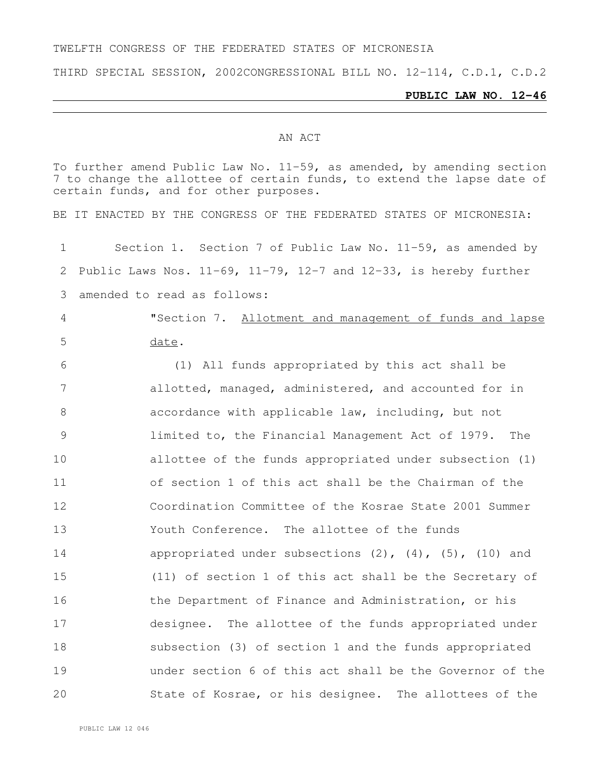#### TWELFTH CONGRESS OF THE FEDERATED STATES OF MICRONESIA

THIRD SPECIAL SESSION, 2002CONGRESSIONAL BILL NO. 12-114, C.D.1, C.D.2

#### **PUBLIC LAW NO. 12-46**

#### AN ACT

To further amend Public Law No. 11-59, as amended, by amending section to change the allottee of certain funds, to extend the lapse date of certain funds, and for other purposes.

BE IT ENACTED BY THE CONGRESS OF THE FEDERATED STATES OF MICRONESIA:

 Section 1. Section 7 of Public Law No. 11-59, as amended by 2 Public Laws Nos.  $11-69$ ,  $11-79$ ,  $12-7$  and  $12-33$ , is hereby further amended to read as follows:

 "Section 7. Allotment and management of funds and lapse date.

 (1) All funds appropriated by this act shall be allotted, managed, administered, and accounted for in accordance with applicable law, including, but not limited to, the Financial Management Act of 1979. The allottee of the funds appropriated under subsection (1) of section 1 of this act shall be the Chairman of the Coordination Committee of the Kosrae State 2001 Summer Youth Conference. The allottee of the funds 14 appropriated under subsections (2), (4), (5), (10) and (11) of section 1 of this act shall be the Secretary of 16 the Department of Finance and Administration, or his designee. The allottee of the funds appropriated under subsection (3) of section 1 and the funds appropriated under section 6 of this act shall be the Governor of the State of Kosrae, or his designee. The allottees of the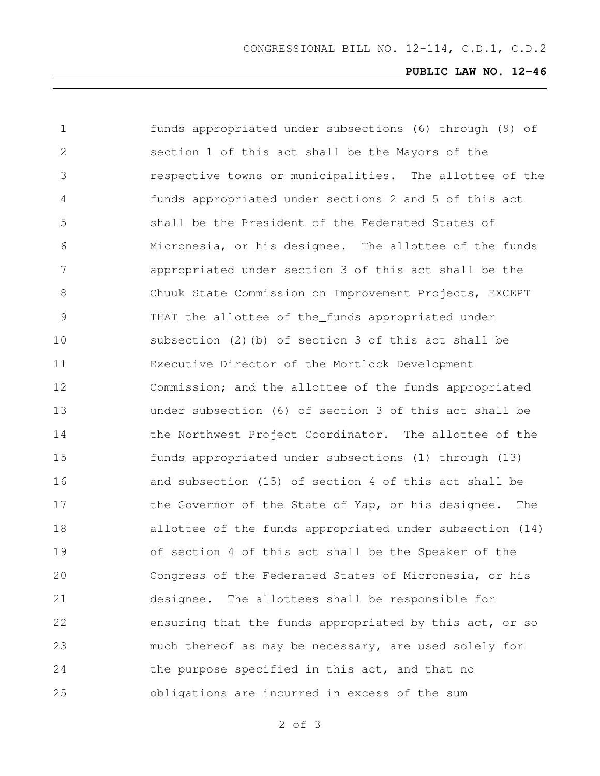# **PUBLIC LAW NO. 12-46**

| $\mathbf 1$   | funds appropriated under subsections (6) through (9) of   |
|---------------|-----------------------------------------------------------|
| 2             | section 1 of this act shall be the Mayors of the          |
| 3             | respective towns or municipalities. The allottee of the   |
| 4             | funds appropriated under sections 2 and 5 of this act     |
| 5             | shall be the President of the Federated States of         |
| 6             | Micronesia, or his designee. The allottee of the funds    |
| 7             | appropriated under section 3 of this act shall be the     |
| 8             | Chuuk State Commission on Improvement Projects, EXCEPT    |
| $\mathcal{G}$ | THAT the allottee of the_funds appropriated under         |
| 10            | subsection (2) (b) of section 3 of this act shall be      |
| 11            | Executive Director of the Mortlock Development            |
| 12            | Commission; and the allottee of the funds appropriated    |
| 13            | under subsection (6) of section 3 of this act shall be    |
| 14            | the Northwest Project Coordinator. The allottee of the    |
| 15            | funds appropriated under subsections (1) through (13)     |
| 16            | and subsection (15) of section 4 of this act shall be     |
| 17            | the Governor of the State of Yap, or his designee.<br>The |
| 18            | allottee of the funds appropriated under subsection (14)  |
| 19            | of section 4 of this act shall be the Speaker of the      |
| 20            | Congress of the Federated States of Micronesia, or his    |
| 21            | The allottees shall be responsible for<br>designee.       |
| 22            | ensuring that the funds appropriated by this act, or so   |
| 23            | much thereof as may be necessary, are used solely for     |
| 24            | the purpose specified in this act, and that no            |
| 25            | obligations are incurred in excess of the sum             |

of 3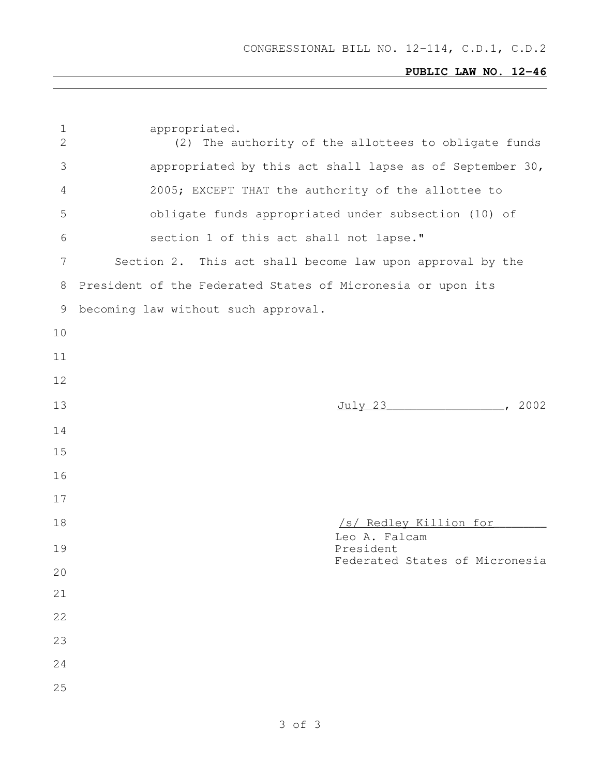# **PUBLIC LAW NO. 12-46**

| $\mathbf 1$<br>$\overline{2}$ | appropriated.<br>(2) The authority of the allottees to obligate funds |
|-------------------------------|-----------------------------------------------------------------------|
| 3                             | appropriated by this act shall lapse as of September 30,              |
| 4                             | 2005; EXCEPT THAT the authority of the allottee to                    |
| 5                             | obligate funds appropriated under subsection (10) of                  |
| 6                             | section 1 of this act shall not lapse."                               |
| 7                             | Section 2. This act shall become law upon approval by the             |
| 8                             | President of the Federated States of Micronesia or upon its           |
| 9                             | becoming law without such approval.                                   |
| 10                            |                                                                       |
| 11                            |                                                                       |
| 12                            |                                                                       |
| 13                            | $\sim$ 2002<br><u>July 23</u>                                         |
| 14                            |                                                                       |
| 15                            |                                                                       |
| 16                            |                                                                       |
| 17                            |                                                                       |
| 18                            | /s/ Redley Killion for                                                |
| 19                            | Leo A. Falcam<br>President                                            |
| 20                            | Federated States of Micronesia                                        |
| 21                            |                                                                       |
| 22                            |                                                                       |
| 23                            |                                                                       |
| 24                            |                                                                       |
| 25                            |                                                                       |